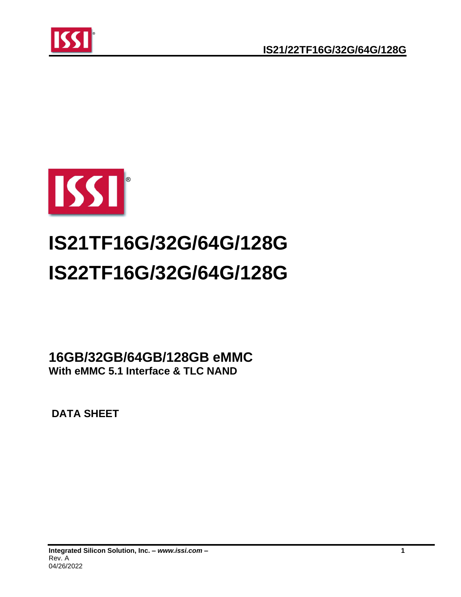



# **IS21TF16G/32G/64G/128G IS22TF16G/32G/64G/128G**

**16GB/32GB/64GB/128GB eMMC With eMMC 5.1 Interface & TLC NAND**

**DATA SHEET**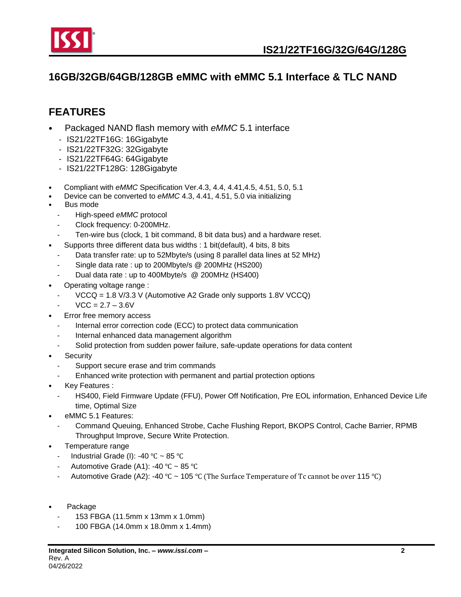

## **16GB/32GB/64GB/128GB eMMC with eMMC 5.1 Interface & TLC NAND**

# <span id="page-1-0"></span>**FEATURES**

- Packaged NAND flash memory with *eMMC* 5.1 interface
	- IS21/22TF16G: 16Gigabyte
	- IS21/22TF32G: 32Gigabyte
	- IS21/22TF64G: 64Gigabyte
	- IS21/22TF128G: 128Gigabyte
- Compliant with *eMMC* Specification Ver.4.3, 4.4, 4.41,4.5, 4.51, 5.0, 5.1
- Device can be converted to *eMMC* 4.3, 4.41, 4.51, 5.0 via initializing
- Bus mode
	- High-speed *eMMC* protocol
	- Clock frequency: 0-200MHz.
	- Ten-wire bus (clock, 1 bit command, 8 bit data bus) and a hardware reset.
	- Supports three different data bus widths : 1 bit(default), 4 bits, 8 bits
	- Data transfer rate: up to 52Mbyte/s (using 8 parallel data lines at 52 MHz)
	- Single data rate : up to 200Mbyte/s @ 200MHz (HS200)
	- Dual data rate : up to 400Mbyte/s @ 200MHz (HS400)
- Operating voltage range :
	- VCCQ = 1.8 V/3.3 V (Automotive A2 Grade only supports 1.8V VCCQ)
	- $VCC = 2.7 3.6V$
- Error free memory access
	- Internal error correction code (ECC) to protect data communication
	- Internal enhanced data management algorithm
	- Solid protection from sudden power failure, safe-update operations for data content
- **Security** 
	- Support secure erase and trim commands
	- Enhanced write protection with permanent and partial protection options
- Key Features :
	- HS400, Field Firmware Update (FFU), Power Off Notification, Pre EOL information, Enhanced Device Life time, Optimal Size
- eMMC 5.1 Features:
	- Command Queuing, Enhanced Strobe, Cache Flushing Report, BKOPS Control, Cache Barrier, RPMB Throughput Improve, Secure Write Protection.
- Temperature range
	- Industrial Grade (I): -40 ℃ ~ 85 ℃
	- Automotive Grade (A1): -40 °C ~ 85 °C
	- Automotive Grade (A2): -40 °C ~ 105 °C (The Surface Temperature of Tc cannot be over 115 °C)
- Package
	- 153 FBGA (11.5mm x 13mm x 1.0mm)
	- 100 FBGA (14.0mm x 18.0mm x 1.4mm)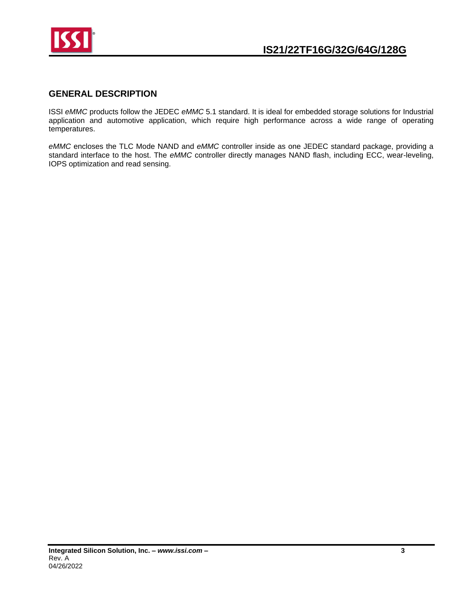

## <span id="page-2-0"></span>**GENERAL DESCRIPTION**

ISSI *eMMC* products follow the JEDEC *eMMC* 5.1 standard. It is ideal for embedded storage solutions for Industrial application and automotive application, which require high performance across a wide range of operating temperatures.

*eMMC* encloses the TLC Mode NAND and *eMMC* controller inside as one JEDEC standard package, providing a standard interface to the host. The *eMMC* controller directly manages NAND flash, including ECC, wear-leveling, IOPS optimization and read sensing.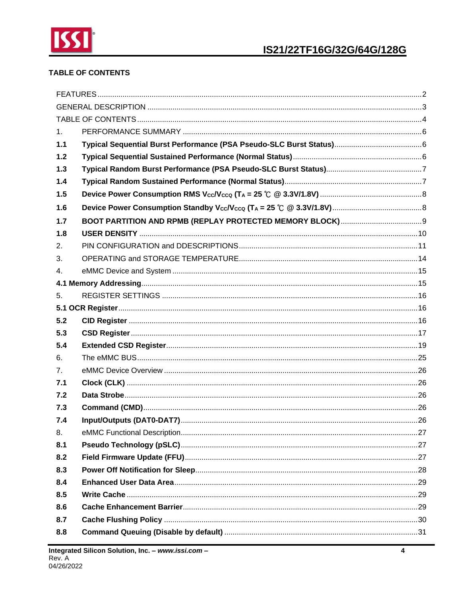

## <span id="page-3-0"></span>**TABLE OF CONTENTS**

| 1 <sub>1</sub> |  |
|----------------|--|
| 1.1            |  |
| $1.2$          |  |
| 1.3            |  |
| 1.4            |  |
| 1.5            |  |
| 1.6            |  |
| 1.7            |  |
| 1.8            |  |
| 2.             |  |
| 3.             |  |
| 4.             |  |
|                |  |
| 5.             |  |
|                |  |
| 5.2            |  |
| 5.3            |  |
| 5.4            |  |
| 6.             |  |
| 7 <sub>1</sub> |  |
| 7.1            |  |
| 7.2            |  |
| 7.3            |  |
| 7.4            |  |
| 8.             |  |
| 8.1            |  |
| 8.2            |  |
| 8.3            |  |
| 8.4            |  |
| 8.5            |  |
| 8.6            |  |
| 8.7            |  |
| 8.8            |  |
|                |  |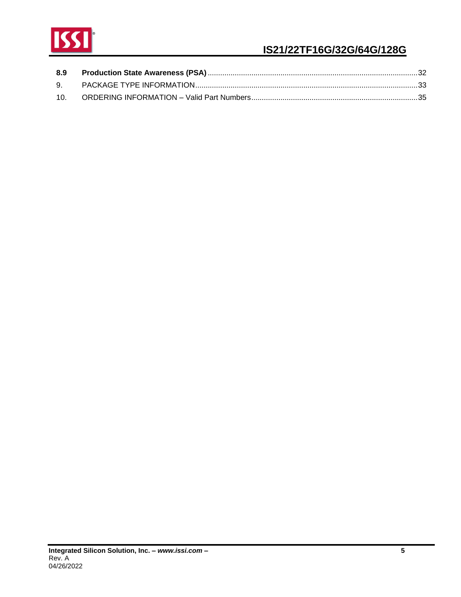

# **IS21/22TF16G/32G/64G/128G**

| 8.9 |  |
|-----|--|
|     |  |
| 10. |  |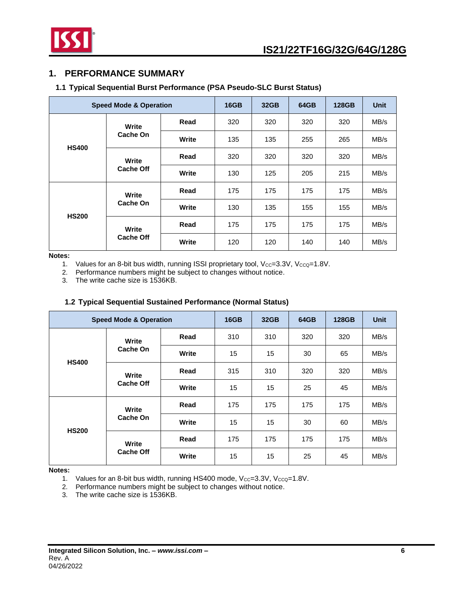

## <span id="page-5-0"></span>**1. PERFORMANCE SUMMARY**

## <span id="page-5-1"></span>**1.1 Typical Sequential Burst Performance (PSA Pseudo-SLC Burst Status)**

|              | <b>Speed Mode &amp; Operation</b> |       | 16GB | 32 <sub>GB</sub> | 64GB | 128GB | <b>Unit</b> |
|--------------|-----------------------------------|-------|------|------------------|------|-------|-------------|
|              | Write<br>Cache On                 | Read  | 320  | 320              | 320  | 320   | MB/s        |
| <b>HS400</b> |                                   | Write | 135  | 135              | 255  | 265   | MB/s        |
|              | Write<br><b>Cache Off</b>         | Read  | 320  | 320              | 320  | 320   | MB/s        |
|              |                                   | Write | 130  | 125              | 205  | 215   | MB/s        |
|              | Write<br>Cache On                 | Read  | 175  | 175              | 175  | 175   | MB/s        |
|              |                                   | Write | 130  | 135              | 155  | 155   | MB/s        |
| <b>HS200</b> | Write<br><b>Cache Off</b>         | Read  | 175  | 175              | 175  | 175   | MB/s        |
|              |                                   | Write | 120  | 120              | 140  | 140   | MB/s        |

**Notes:**

1. Values for an 8-bit bus width, running ISSI proprietary tool,  $V_{CC}=3.3V$ ,  $V_{CCQ}=1.8V$ .

2. Performance numbers might be subject to changes without notice.

3. The write cache size is 1536KB.

## **1.2 Typical Sequential Sustained Performance (Normal Status)**

<span id="page-5-2"></span>

| <b>Speed Mode &amp; Operation</b> |                           |       | <b>16GB</b> | 32 <sub>GB</sub> | 64GB | <b>128GB</b> | <b>Unit</b> |
|-----------------------------------|---------------------------|-------|-------------|------------------|------|--------------|-------------|
|                                   | Write<br>Cache On         | Read  | 310         | 310              | 320  | 320          | MB/s        |
|                                   |                           | Write | 15          | 15               | 30   | 65           | MB/s        |
| <b>HS400</b>                      | Write<br><b>Cache Off</b> | Read  | 315         | 310              | 320  | 320          | MB/s        |
|                                   |                           | Write | 15          | 15               | 25   | 45           | MB/s        |
|                                   | Write<br>Cache On         | Read  | 175         | 175              | 175  | 175          | MB/s        |
|                                   |                           | Write | 15          | 15               | 30   | 60           | MB/s        |
| <b>HS200</b>                      | Write                     | Read  | 175         | 175              | 175  | 175          | MB/s        |
|                                   | <b>Cache Off</b>          | Write | 15          | 15               | 25   | 45           | MB/s        |

**Notes:**

1. Values for an 8-bit bus width, running HS400 mode,  $V_{CC}=3.3V$ ,  $V_{CCQ}=1.8V$ .

2. Performance numbers might be subject to changes without notice.

3. The write cache size is 1536KB.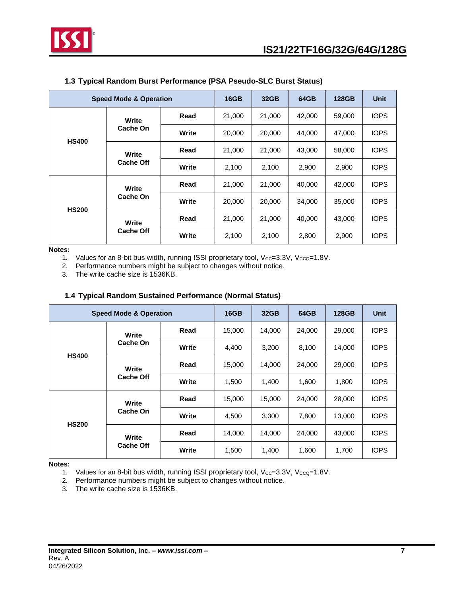

<span id="page-6-0"></span>

|              | <b>Speed Mode &amp; Operation</b> |              |        | 32GB   | 64GB   | <b>128GB</b> | <b>Unit</b> |
|--------------|-----------------------------------|--------------|--------|--------|--------|--------------|-------------|
|              | Write<br>Cache On                 | Read         | 21,000 | 21,000 | 42,000 | 59,000       | <b>IOPS</b> |
| <b>HS400</b> |                                   | <b>Write</b> | 20,000 | 20,000 | 44.000 | 47.000       | <b>IOPS</b> |
|              | Write<br><b>Cache Off</b>         | Read         | 21,000 | 21.000 | 43,000 | 58,000       | <b>IOPS</b> |
|              |                                   | Write        | 2,100  | 2.100  | 2.900  | 2.900        | <b>IOPS</b> |
|              | Write<br>Cache On                 | Read         | 21,000 | 21,000 | 40.000 | 42,000       | <b>IOPS</b> |
|              |                                   | Write        | 20,000 | 20,000 | 34,000 | 35,000       | <b>IOPS</b> |
| <b>HS200</b> | Write<br><b>Cache Off</b>         | Read         | 21,000 | 21,000 | 40,000 | 43,000       | <b>IOPS</b> |
|              |                                   | Write        | 2,100  | 2,100  | 2,800  | 2,900        | <b>IOPS</b> |

## **1.3 Typical Random Burst Performance (PSA Pseudo-SLC Burst Status)**

**Notes:**

1. Values for an 8-bit bus width, running ISSI proprietary tool,  $V_{CC}=3.3V$ ,  $V_{CCQ}=1.8V$ .<br>2. Performance numbers might be subject to changes without notice.

Performance numbers might be subject to changes without notice.

3. The write cache size is 1536KB.

#### **1.4 Typical Random Sustained Performance (Normal Status)**

<span id="page-6-1"></span>

| <b>Speed Mode &amp; Operation</b> |                           |       | 16GB   | 32GB   | 64GB   | <b>128GB</b> | <b>Unit</b> |
|-----------------------------------|---------------------------|-------|--------|--------|--------|--------------|-------------|
|                                   | Write<br>Cache On         | Read  | 15,000 | 14,000 | 24,000 | 29,000       | <b>IOPS</b> |
| <b>HS400</b>                      |                           | Write | 4,400  | 3,200  | 8,100  | 14,000       | <b>IOPS</b> |
|                                   | Write<br><b>Cache Off</b> | Read  | 15,000 | 14,000 | 24,000 | 29,000       | <b>IOPS</b> |
|                                   |                           | Write | 1,500  | 1,400  | 1,600  | 1,800        | <b>IOPS</b> |
|                                   | Write<br>Cache On         | Read  | 15,000 | 15,000 | 24,000 | 28,000       | <b>IOPS</b> |
|                                   |                           | Write | 4,500  | 3,300  | 7,800  | 13,000       | <b>IOPS</b> |
| <b>HS200</b>                      | Write<br><b>Cache Off</b> | Read  | 14,000 | 14,000 | 24,000 | 43,000       | <b>IOPS</b> |
|                                   |                           | Write | 1,500  | 1,400  | 1,600  | 1,700        | <b>IOPS</b> |

**Notes:**

1. Values for an 8-bit bus width, running ISSI proprietary tool,  $V_{CC}=3.3V$ ,  $V_{CCQ}=1.8V$ .

2. Performance numbers might be subject to changes without notice.

3. The write cache size is 1536KB.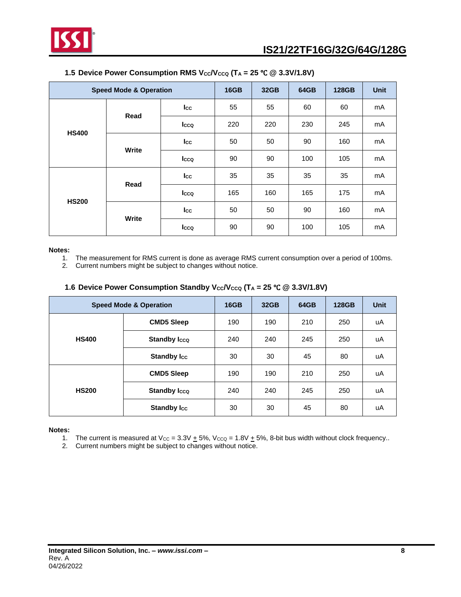

<span id="page-7-0"></span>

| <b>Speed Mode &amp; Operation</b> |       | <b>16GB</b>  | 32GB | 64GB | <b>128GB</b> | <b>Unit</b> |    |
|-----------------------------------|-------|--------------|------|------|--------------|-------------|----|
|                                   |       | Icc          | 55   | 55   | 60           | 60          | mA |
| <b>HS400</b>                      | Read  | <b>I</b> cco | 220  | 220  | 230          | 245         | mA |
|                                   | Write | Icc          | 50   | 50   | 90           | 160         | mA |
|                                   |       | Icco         | 90   | 90   | 100          | 105         | mA |
|                                   | Read  | Icc          | 35   | 35   | 35           | 35          | mA |
|                                   |       | <b>I</b> cco | 165  | 160  | 165          | 175         | mA |
| <b>HS200</b>                      | Write | Icc          | 50   | 50   | 90           | 160         | mA |
|                                   |       | Icco         | 90   | 90   | 100          | 105         | mA |

#### **1.5 Device Power Consumption RMS**  $V_{CC}V_{CCQ}$  **(T<sub>A</sub> = 25 °C @ 3.3V/1.8V)**

#### **Notes:**

- 1. The measurement for RMS current is done as average RMS current consumption over a period of 100ms.
- 2. Current numbers might be subject to changes without notice.

#### **1.6 Device Power Consumption Standby**  $V_{CC}V_{CCQ}$  **(T<sub>A</sub> = 25 °C @ 3.3V/1.8V)**

<span id="page-7-1"></span>

| <b>Speed Mode &amp; Operation</b> |                     | <b>16GB</b> | 32GB | 64GB | <b>128GB</b> | <b>Unit</b> |
|-----------------------------------|---------------------|-------------|------|------|--------------|-------------|
| <b>HS400</b>                      | <b>CMD5 Sleep</b>   | 190         | 190  | 210  | 250          | uA          |
|                                   | <b>Standby Icco</b> | 240         | 240  | 245  | 250          | uA          |
|                                   | <b>Standby Icc</b>  | 30          | 30   | 45   | 80           | uA          |
| <b>HS200</b>                      | <b>CMD5 Sleep</b>   | 190         | 190  | 210  | 250          | uA          |
|                                   | <b>Standby Icco</b> | 240         | 240  | 245  | 250          | uA          |
|                                   | <b>Standby Icc</b>  | 30          | 30   | 45   | 80           | uA          |

#### **Notes:**

- 1. The current is measured at  $V_{CC} = 3.3V + 5\%$ ,  $V_{CCQ} = 1.8V + 5\%$ , 8-bit bus width without clock frequency..
- 2. Current numbers might be subject to changes without notice.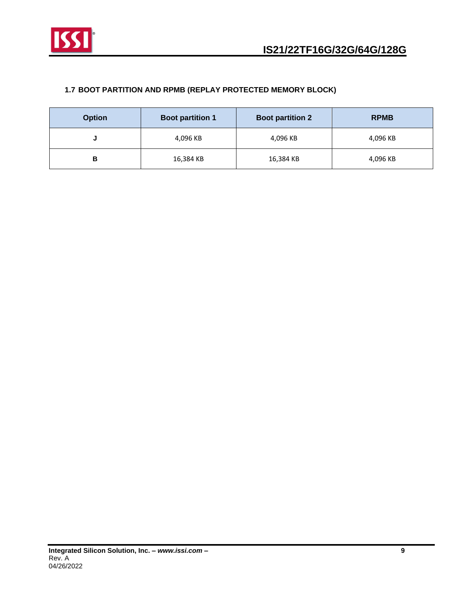

## <span id="page-8-0"></span>**1.7 BOOT PARTITION AND RPMB (REPLAY PROTECTED MEMORY BLOCK)**

| <b>Option</b> | <b>Boot partition 1</b> | <b>Boot partition 2</b> | <b>RPMB</b> |
|---------------|-------------------------|-------------------------|-------------|
|               | 4,096 KB                | 4,096 KB                | 4,096 KB    |
| В             | 16,384 KB               | 16,384 KB               | 4,096 KB    |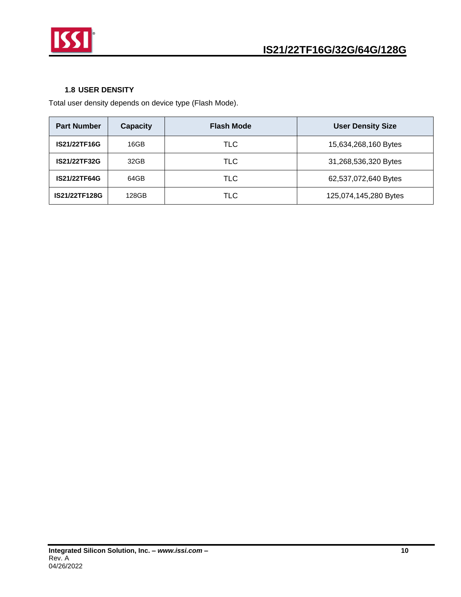

## **1.8 USER DENSITY**

<span id="page-9-0"></span>Total user density depends on device type (Flash Mode).

| <b>Part Number</b>  | <b>Capacity</b> | <b>Flash Mode</b> | <b>User Density Size</b> |
|---------------------|-----------------|-------------------|--------------------------|
| <b>IS21/22TF16G</b> | 16GB            | TLC               | 15,634,268,160 Bytes     |
| <b>IS21/22TF32G</b> | 32GB            | <b>TLC</b>        | 31,268,536,320 Bytes     |
| <b>IS21/22TF64G</b> | 64GB            | TLC.              | 62,537,072,640 Bytes     |
| IS21/22TF128G       | 128GB           | TLC               | 125,074,145,280 Bytes    |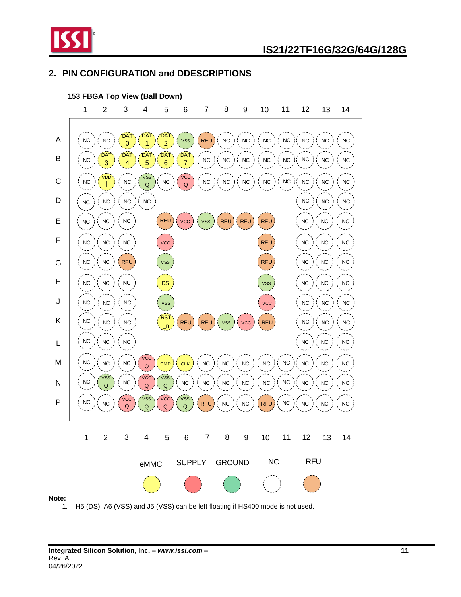

## <span id="page-10-0"></span>**2. PIN CONFIGURATION and DDESCRIPTIONS**



1. H5 (DS), A6 (VSS) and J5 (VSS) can be left floating if HS400 mode is not used.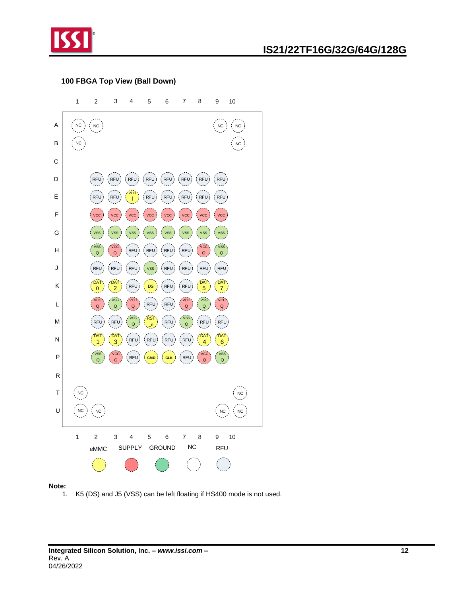

# **IS21/22TF16G/32G/64G/128G**

#### **100 FBGA Top View (Ball Down)**



#### **Note:**

1. K5 (DS) and J5 (VSS) can be left floating if HS400 mode is not used.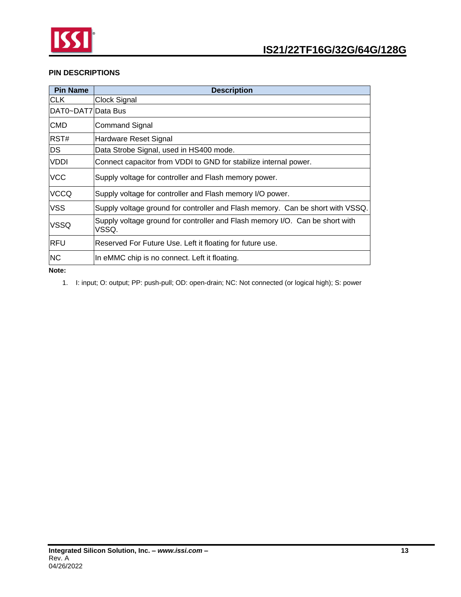

## **PIN DESCRIPTIONS**

| <b>Pin Name</b>    | <b>Description</b>                                                                    |
|--------------------|---------------------------------------------------------------------------------------|
| CLK.               | Clock Signal                                                                          |
| DAT0~DAT7 Data Bus |                                                                                       |
| <b>CMD</b>         | Command Signal                                                                        |
| RST#               | Hardware Reset Signal                                                                 |
| DS                 | Data Strobe Signal, used in HS400 mode.                                               |
| <b>VDDI</b>        | Connect capacitor from VDDI to GND for stabilize internal power.                      |
| VCC                | Supply voltage for controller and Flash memory power.                                 |
| <b>VCCQ</b>        | Supply voltage for controller and Flash memory I/O power.                             |
| <b>VSS</b>         | Supply voltage ground for controller and Flash memory. Can be short with VSSQ.        |
| <b>VSSQ</b>        | Supply voltage ground for controller and Flash memory I/O. Can be short with<br>VSSQ. |
| IRFU               | Reserved For Future Use. Left it floating for future use.                             |
| <b>NC</b>          | In eMMC chip is no connect. Left it floating.                                         |
| Note:              |                                                                                       |

1. I: input; O: output; PP: push-pull; OD: open-drain; NC: Not connected (or logical high); S: power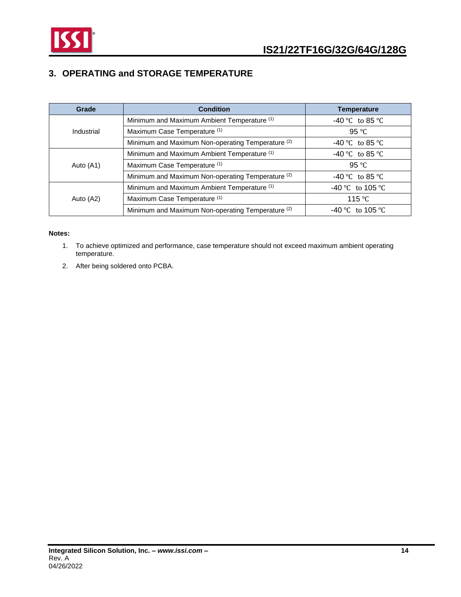

## <span id="page-13-0"></span>**3. OPERATING and STORAGE TEMPERATURE**

| Grade      | <b>Condition</b>                                             | <b>Temperature</b> |
|------------|--------------------------------------------------------------|--------------------|
|            | Minimum and Maximum Ambient Temperature (1)                  | $-40$ °C to 85 °C  |
| Industrial | Maximum Case Temperature (1)                                 | 95 $\degree$ C     |
|            | Minimum and Maximum Non-operating Temperature <sup>(2)</sup> | $-40$ °C to 85 °C  |
|            | Minimum and Maximum Ambient Temperature (1)                  | -40 °C to 85 °C    |
| Auto (A1)  | Maximum Case Temperature (1)                                 | 95 $\degree$ C     |
|            | Minimum and Maximum Non-operating Temperature <sup>(2)</sup> | $-40$ °C to 85 °C  |
|            | Minimum and Maximum Ambient Temperature (1)                  | -40 °C to 105 °C   |
| Auto (A2)  | Maximum Case Temperature (1)                                 | 115 $\degree$ C    |
|            | Minimum and Maximum Non-operating Temperature <sup>(2)</sup> | -40 °C to 105 °C   |

#### **Notes:**

- 1. To achieve optimized and performance, case temperature should not exceed maximum ambient operating temperature.
- 2. After being soldered onto PCBA.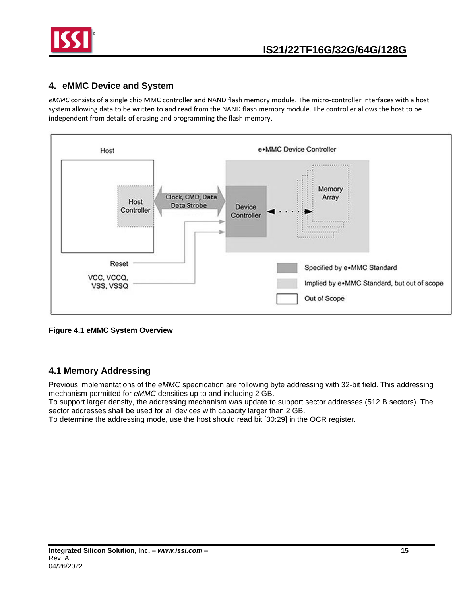

## <span id="page-14-0"></span>**4. eMMC Device and System**

*eMMC* consists of a single chip MMC controller and NAND flash memory module. The micro-controller interfaces with a host system allowing data to be written to and read from the NAND flash memory module. The controller allows the host to be independent from details of erasing and programming the flash memory.



**Figure 4.1 eMMC System Overview**

## <span id="page-14-1"></span>**4.1 Memory Addressing**

Previous implementations of the *eMMC* specification are following byte addressing with 32-bit field. This addressing mechanism permitted for *eMMC* densities up to and including 2 GB.

To support larger density, the addressing mechanism was update to support sector addresses (512 B sectors). The sector addresses shall be used for all devices with capacity larger than 2 GB.

To determine the addressing mode, use the host should read bit [30:29] in the OCR register.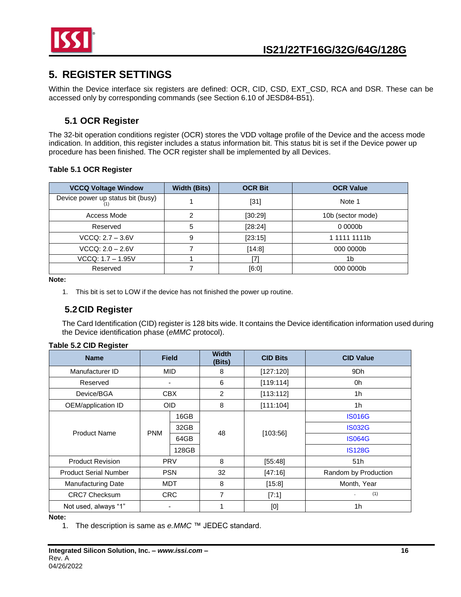

# <span id="page-15-0"></span>**5. REGISTER SETTINGS**

Within the Device interface six registers are defined: OCR, CID, CSD, EXT\_CSD, RCA and DSR. These can be accessed only by corresponding commands (see Section 6.10 of JESD84-B51).

## **5.1 OCR Register**

<span id="page-15-1"></span>The 32-bit operation conditions register (OCR) stores the VDD voltage profile of the Device and the access mode indication. In addition, this register includes a status information bit. This status bit is set if the Device power up procedure has been finished. The OCR register shall be implemented by all Devices.

#### **Table 5.1 OCR Register**

| <b>VCCQ Voltage Window</b>        | <b>Width (Bits)</b> | <b>OCR Bit</b> | <b>OCR Value</b>   |
|-----------------------------------|---------------------|----------------|--------------------|
| Device power up status bit (busy) |                     | $[31]$         | Note 1             |
| Access Mode                       |                     | [30:29]        | 10b (sector mode)  |
| Reserved                          | 5                   | [28:24]        | 00000 <sub>b</sub> |
| $VCCQ: 2.7 - 3.6V$                | 9                   | [23:15]        | 1 1111 1111b       |
| $VCCQ: 2.0 - 2.6V$                |                     | [14:8]         | 000 0000b          |
| VCCQ: 1.7 - 1.95V                 |                     |                | 1b                 |
| Reserved                          |                     | [6:0]          | 000 0000b          |

**Note:**

1. This bit is set to LOW if the device has not finished the power up routine.

## <span id="page-15-2"></span>**5.2CID Register**

The Card Identification (CID) register is 128 bits wide. It contains the Device identification information used during the Device identification phase (*eMMC* protocol).

| <b>Name</b>                  |            | <b>Field</b> | <b>Width</b><br>(Bits) | <b>CID Bits</b> | <b>CID Value</b>     |
|------------------------------|------------|--------------|------------------------|-----------------|----------------------|
| Manufacturer ID              |            | <b>MID</b>   | 8                      | [127:120]       | 9Dh                  |
| Reserved                     |            | ٠            | 6                      | [119:114]       | 0h                   |
| Device/BGA                   |            | <b>CBX</b>   | $\overline{2}$         | [113:112]       | 1 <sub>h</sub>       |
| OEM/application ID           |            | <b>OID</b>   | 8                      | [111:104]       | 1h                   |
|                              |            | 16GB         | 48                     |                 | <b>IS016G</b>        |
| <b>Product Name</b>          | <b>PNM</b> | 32GB         |                        | [103:56]        | <b>IS032G</b>        |
|                              |            | 64GB         |                        |                 | <b>IS064G</b>        |
|                              |            | 128GB        |                        |                 | <b>IS128G</b>        |
| <b>Product Revision</b>      |            | <b>PRV</b>   | 8                      | [55:48]         | 51h                  |
| <b>Product Serial Number</b> |            | <b>PSN</b>   | 32                     | [47:16]         | Random by Production |
| <b>Manufacturing Date</b>    |            | <b>MDT</b>   | 8                      | [15:8]          | Month, Year          |
| <b>CRC7 Checksum</b>         |            | <b>CRC</b>   | 7                      | [7:1]           | (1)                  |
| Not used, always "1"         |            | ٠            |                        | [0]             | 1h                   |

**Note:**

1. The description is same as *e.MMC* ™ JEDEC standard.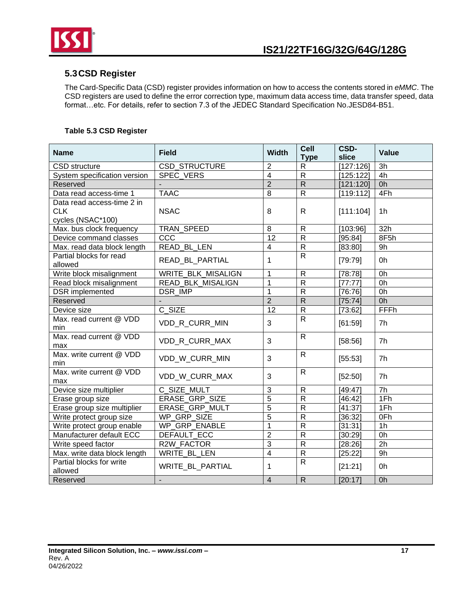

## <span id="page-16-0"></span>**5.3CSD Register**

The Card-Specific Data (CSD) register provides information on how to access the contents stored in *eMMC*. The CSD registers are used to define the error correction type, maximum data access time, data transfer speed, data format…etc. For details, refer to section 7.3 of the JEDEC Standard Specification No.JESD84-B51.

## **Table 5.3 CSD Register**

| <b>Name</b>                                                   | <b>Field</b>              | <b>Width</b>            | Cell<br><b>Type</b>     | CSD-<br>slice | <b>Value</b>    |
|---------------------------------------------------------------|---------------------------|-------------------------|-------------------------|---------------|-----------------|
| CSD structure                                                 | CSD_STRUCTURE             | $\overline{2}$          | $\mathsf{R}$            | [127:126]     | 3h              |
| System specification version                                  | <b>SPEC VERS</b>          | $\overline{4}$          | $\overline{R}$          | [125:122]     | 4h              |
| Reserved                                                      |                           | $\overline{2}$          | $\overline{R}$          | [121:120]     | 0h              |
| Data read access-time 1                                       | <b>TAAC</b>               | 8                       | $\overline{R}$          | [119:112]     | 4Fh             |
| Data read access-time 2 in<br><b>CLK</b><br>cycles (NSAC*100) | <b>NSAC</b>               | 8                       | $\mathsf{R}$            | [111:104]     | 1 <sub>h</sub>  |
| Max. bus clock frequency                                      | TRAN_SPEED                | 8                       | ${\sf R}$               | [103:96]      | 32h             |
| Device command classes                                        | CCC                       | 12                      | $\overline{R}$          | [95:84]       | 8F5h            |
| Max. read data block length                                   | READ BL LEN               | $\overline{\mathbf{4}}$ | $\overline{R}$          | [83:80]       | 9h              |
| Partial blocks for read<br>allowed                            | READ_BL_PARTIAL           | 1                       | $\mathsf{R}$            | [79:79]       | 0h              |
| Write block misalignment                                      | <b>WRITE BLK MISALIGN</b> | $\mathbf{1}$            | $\mathsf{R}$            | [78:78]       | 0h              |
| Read block misalignment                                       | READ_BLK_MISALIGN         | $\mathbf{1}$            | $\overline{R}$          | [77:77]       | 0h              |
| <b>DSR</b> implemented                                        | <b>DSR IMP</b>            | $\mathbf{1}$            | ${\sf R}$               | [76:76]       | 0h              |
| Reserved                                                      |                           | $\overline{2}$          | $\overline{R}$          | [75:74]       | 0h              |
| Device size                                                   | C SIZE                    | 12                      | ${\sf R}$               | [73:62]       | FFFh            |
| Max. read current @ VDD<br>min                                | VDD_R_CURR_MIN            | 3                       | $\mathsf{R}$            | [61:59]       | 7h              |
| Max. read current @ VDD<br>max                                | VDD R CURR MAX            | 3                       | $\mathsf{R}$            | [58:56]       | 7 <sub>h</sub>  |
| Max. write current @ VDD<br>min                               | VDD W CURR MIN            | 3                       | $\mathsf{R}$            | [55:53]       | 7h              |
| Max. write current @ VDD<br>max                               | VDD_W_CURR_MAX            | 3                       | $\mathsf{R}$            | [52:50]       | 7h              |
| Device size multiplier                                        | C SIZE MULT               | $\overline{3}$          | $\overline{R}$          | [49:47]       | $\overline{7h}$ |
| Erase group size                                              | <b>ERASE GRP SIZE</b>     | $\overline{5}$          | $\overline{R}$          | [46:42]       | 1Fh             |
| Erase group size multiplier                                   | <b>ERASE GRP MULT</b>     | $\overline{5}$          | $\overline{R}$          | [41:37]       | 1Fh             |
| Write protect group size                                      | WP_GRP_SIZE               | $\overline{5}$          | $\overline{\mathsf{R}}$ | [36:32]       | OFh             |
| Write protect group enable                                    | WP_GRP_ENABLE             | $\mathbf 1$             | $\overline{R}$          | [31:31]       | 1 <sub>h</sub>  |
| Manufacturer default ECC                                      | <b>DEFAULT ECC</b>        | $\overline{2}$          | $\overline{R}$          | [30:29]       | 0 <sub>h</sub>  |
| Write speed factor                                            | R2W FACTOR                | $\overline{3}$          | $\overline{R}$          | [28:26]       | $\overline{2h}$ |
| Max. write data block length                                  | WRITE_BL_LEN              | $\overline{4}$          | $\overline{R}$          | [25:22]       | 9h              |
| Partial blocks for write<br>allowed                           | <b>WRITE BL PARTIAL</b>   | 1                       | $\overline{R}$          | [21:21]       | 0h              |
| Reserved                                                      | $\overline{a}$            | $\overline{4}$          | $\mathsf{R}$            | [20:17]       | 0 <sub>h</sub>  |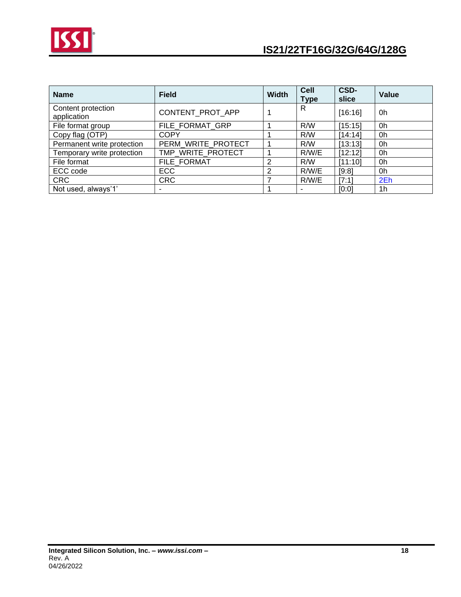

| <b>Name</b>                       | <b>Field</b>       | <b>Width</b> | <b>Cell</b><br><b>Type</b> | CSD-<br>slice | Value          |
|-----------------------------------|--------------------|--------------|----------------------------|---------------|----------------|
| Content protection<br>application | CONTENT_PROT_APP   |              | R                          | [16:16]       | 0h             |
| File format group                 | FILE_FORMAT_GRP    |              | R/W                        | [15:15]       | 0h             |
| Copy flag (OTP)                   | <b>COPY</b>        |              | R/W                        | [14:14]       | 0h             |
| Permanent write protection        | PERM_WRITE_PROTECT |              | R/W                        | [13:13]       | 0h             |
| Temporary write protection        | TMP_WRITE_PROTECT  |              | R/W/E                      | [12:12]       | 0h             |
| File format                       | FILE FORMAT        | 2            | R/W                        | [11:10]       | 0h             |
| ECC code                          | <b>ECC</b>         | 2            | R/W/E                      | [9:8]         | 0h             |
| <b>CRC</b>                        | <b>CRC</b>         |              | R/W/E                      | [7:1]         | 2Eh            |
| Not used, always'1'               |                    |              |                            | [0:0]         | 1 <sub>h</sub> |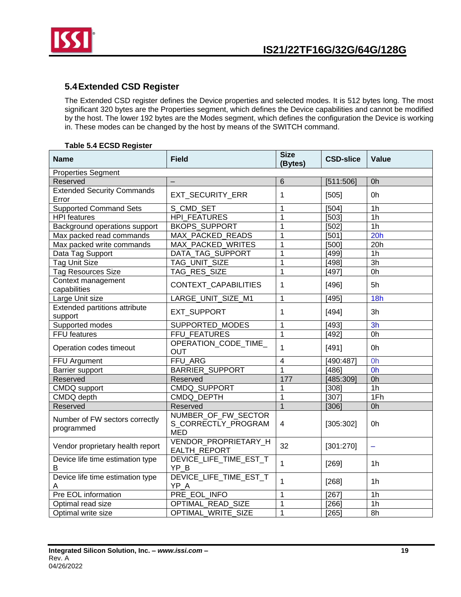

## <span id="page-18-0"></span>**5.4Extended CSD Register**

The Extended CSD register defines the Device properties and selected modes. It is 512 bytes long. The most significant 320 bytes are the Properties segment, which defines the Device capabilities and cannot be modified by the host. The lower 192 bytes are the Modes segment, which defines the configuration the Device is working in. These modes can be changed by the host by means of the SWITCH command.

## **Table 5.4 ECSD Register**

| <b>Name</b>                                  | <b>Field</b>                                             | <b>Size</b><br>(Bytes) | <b>CSD-slice</b> | Value                    |
|----------------------------------------------|----------------------------------------------------------|------------------------|------------------|--------------------------|
| <b>Properties Segment</b>                    |                                                          |                        |                  |                          |
| Reserved                                     |                                                          | 6                      | [511:506]        | 0h                       |
| <b>Extended Security Commands</b><br>Error   | EXT_SECURITY_ERR                                         | 1                      | [505]            | 0h                       |
| <b>Supported Command Sets</b>                | S CMD SET                                                | 1                      | [504]            | 1 <sub>h</sub>           |
| <b>HPI</b> features                          | <b>HPI FEATURES</b>                                      | 1                      | [503]            | 1 <sub>h</sub>           |
| Background operations support                | <b>BKOPS_SUPPORT</b>                                     | 1                      | [502]            | $\overline{1h}$          |
| Max packed read commands                     | MAX_PACKED_READS                                         | $\overline{1}$         | [501]            | 20h                      |
| Max packed write commands                    | <b>MAX PACKED WRITES</b>                                 | $\overline{1}$         | (500)            | 20h                      |
| Data Tag Support                             | <b>DATA TAG SUPPORT</b>                                  | 1                      | [499]            | 1 <sub>h</sub>           |
| <b>Tag Unit Size</b>                         | TAG_UNIT_SIZE                                            | $\overline{1}$         | [498]            | $\overline{3h}$          |
| <b>Tag Resources Size</b>                    | <b>TAG RES SIZE</b>                                      | $\overline{1}$         | [497]            | 0h                       |
| Context management<br>capabilities           | CONTEXT_CAPABILITIES                                     | 1                      | [496]            | 5h                       |
| Large Unit size                              | LARGE UNIT SIZE M1                                       | 1                      | [495]            | 18h                      |
| Extended partitions attribute<br>support     | EXT_SUPPORT                                              | 1                      | [494]            | 3h                       |
| Supported modes                              | SUPPORTED MODES                                          | 1                      | [493]            | 3h                       |
| FFU features                                 | FFU_FEATURES                                             | 1                      | [492]            | 0h                       |
| Operation codes timeout                      | OPERATION_CODE_TIME_<br><b>OUT</b>                       | $\mathbf 1$            | [491]            | 0h                       |
| FFU Argument                                 | FFU_ARG                                                  | 4                      | [490:487]        | 0h                       |
| Barrier support                              | <b>BARRIER_SUPPORT</b>                                   | 1                      | [486]            | 0h                       |
| Reserved                                     | Reserved                                                 | 177                    | [485:309]        | 0h                       |
| CMDQ support                                 | CMDQ_SUPPORT                                             | 1                      | [308]            | 1 <sub>h</sub>           |
| CMDQ depth                                   | CMDQ DEPTH                                               | 1                      | [307]            | 1Fh                      |
| Reserved                                     | Reserved                                                 | $\overline{1}$         | [306]            | 0h                       |
| Number of FW sectors correctly<br>programmed | NUMBER OF FW SECTOR<br>S_CORRECTLY_PROGRAM<br><b>MED</b> | 4                      | [305:302]        | 0h                       |
| Vendor proprietary health report             | VENDOR PROPRIETARY H<br>EALTH_REPORT                     | 32                     | [301:270]        | $\overline{\phantom{m}}$ |
| Device life time estimation type<br>B        | DEVICE_LIFE_TIME_EST_T<br>YP B                           | $\overline{1}$         | [269]            | 1 <sub>h</sub>           |
| Device life time estimation type<br>A        | DEVICE_LIFE_TIME_EST_T<br>YP_A                           | $\mathbf 1$            | [268]            | 1 <sub>h</sub>           |
| Pre EOL information                          | PRE EOL INFO                                             | 1                      | [267]            | 1 <sub>h</sub>           |
| Optimal read size                            | OPTIMAL_READ_SIZE                                        | 1                      | [266]            | 1 <sub>h</sub>           |
| Optimal write size                           | OPTIMAL WRITE SIZE                                       | $\mathbf{1}$           | [265]            | 8h                       |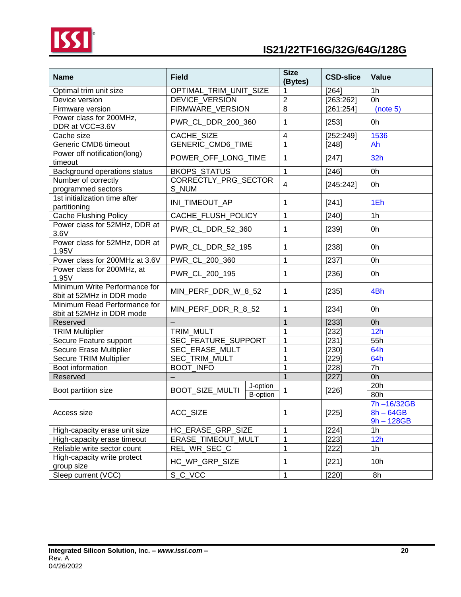

| <b>Name</b>                                                | <b>Field</b>                                   | <b>Size</b><br>(Bytes)  | <b>CSD-slice</b> | <b>Value</b>                              |
|------------------------------------------------------------|------------------------------------------------|-------------------------|------------------|-------------------------------------------|
| Optimal trim unit size                                     | OPTIMAL_TRIM_UNIT_SIZE                         | 1                       | [264]            | 1 <sub>h</sub>                            |
| Device version                                             | DEVICE_VERSION                                 | $\boldsymbol{2}$        | [263:262]        | 0h                                        |
| Firmware version                                           | FIRMWARE_VERSION                               | $\overline{8}$          | [261:254]        | (note 5)                                  |
| Power class for 200MHz,<br>DDR at VCC=3.6V                 | PWR CL DDR 200 360                             | 1                       | [253]            | 0h                                        |
| Cache size                                                 | CACHE_SIZE                                     | $\overline{4}$          | [252:249]        | 1536                                      |
| Generic CMD6 timeout                                       | GENERIC_CMD6_TIME                              | 1                       | [248]            | Ah                                        |
| Power off notification(long)<br>timeout                    | POWER_OFF_LONG_TIME                            | 1                       | [247]            | 32h                                       |
| Background operations status                               | <b>BKOPS_STATUS</b>                            | $\mathbf{1}$            | [246]            | 0h                                        |
| Number of correctly<br>programmed sectors                  | CORRECTLY_PRG_SECTOR<br>S_NUM                  | $\overline{\mathbf{4}}$ | [245:242]        | 0h                                        |
| 1st initialization time after<br>partitioning              | INI_TIMEOUT_AP                                 | 1                       | [241]            | 1Eh                                       |
| <b>Cache Flushing Policy</b>                               | CACHE FLUSH POLICY                             | 1                       | [240]            | 1 <sub>h</sub>                            |
| Power class for 52MHz, DDR at<br>3.6V                      | PWR_CL_DDR_52_360                              | 1                       | [239]            | 0h                                        |
| Power class for 52MHz, DDR at<br>1.95V                     | PWR CL DDR 52 195                              | 1                       | [238]            | 0h                                        |
| Power class for 200MHz at 3.6V                             | PWR_CL_200_360                                 | 1                       | [237]            | 0h                                        |
| Power class for 200MHz, at<br>1.95V                        | PWR_CL_200_195                                 | 1                       | [236]            | 0h                                        |
| Minimum Write Performance for<br>8bit at 52MHz in DDR mode | MIN_PERF_DDR_W_8_52                            | 1                       | [235]            | 4Bh                                       |
| Minimum Read Performance for<br>8bit at 52MHz in DDR mode  | MIN_PERF_DDR_R_8_52                            | 1                       | [234]            | 0h                                        |
| Reserved                                                   |                                                | $\mathbf{1}$            | [233]            | 0h                                        |
| <b>TRIM Multiplier</b>                                     | TRIM MULT                                      | 1                       | [232]            | 12h                                       |
| Secure Feature support                                     | SEC_FEATURE_SUPPORT                            | 1                       | $[231]$          | 55h                                       |
| Secure Erase Multiplier                                    | SEC_ERASE_MULT                                 | 1                       | [230]            | 64h                                       |
| <b>Secure TRIM Multiplier</b>                              | SEC_TRIM_MULT                                  | 1                       | [229]            | 64h                                       |
| Boot information                                           | <b>BOOT_INFO</b>                               | 1                       | [228]            | 7h                                        |
| Reserved                                                   |                                                | $\overline{1}$          | [227]            | Oh                                        |
| Boot partition size                                        | J-option<br>BOOT_SIZE_MULTI<br><b>B-option</b> | 1                       | [226]            | 20h<br>80h                                |
| Access size                                                | ACC_SIZE                                       | 1                       | [225]            | 7h-16/32GB<br>$8h - 64GB$<br>$9h - 128GB$ |
| High-capacity erase unit size                              | HC_ERASE_GRP_SIZE                              | 1                       | [224]            | 1h                                        |
| High-capacity erase timeout                                | ERASE TIMEOUT MULT                             | 1                       | [223]            | 12h                                       |
| Reliable write sector count                                | REL WR SEC C                                   | 1                       | [222]            | 1 <sub>h</sub>                            |
| High-capacity write protect<br>group size                  | HC_WP_GRP_SIZE                                 | 1                       | [221]            | 10h                                       |
| Sleep current (VCC)                                        | S_C_VCC                                        | 1                       | $[220]$          | 8h                                        |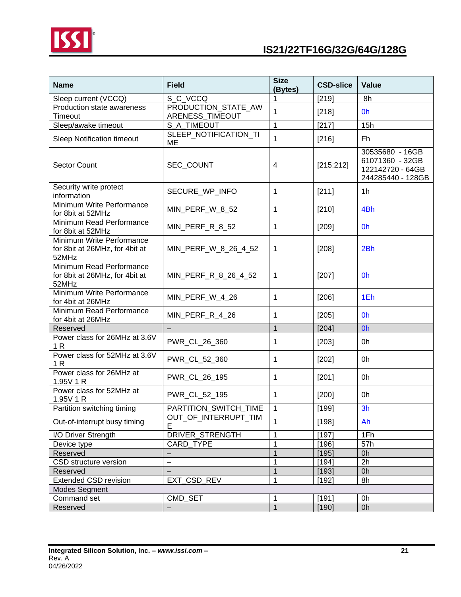

| <b>Name</b>                                                          | <b>Field</b>                           | <b>Size</b><br>(Bytes) | <b>CSD-slice</b> | <b>Value</b>                                                                |
|----------------------------------------------------------------------|----------------------------------------|------------------------|------------------|-----------------------------------------------------------------------------|
| Sleep current (VCCQ)                                                 | S_C_VCCQ                               |                        | [219]            | 8h                                                                          |
| Production state awareness<br>Timeout                                | PRODUCTION_STATE_AW<br>ARENESS_TIMEOUT | 1                      | [218]            | 0h                                                                          |
| Sleep/awake timeout                                                  | S A_TIMEOUT                            | 1                      | [217]            | 15h                                                                         |
| Sleep Notification timeout                                           | SLEEP_NOTIFICATION_TI<br><b>ME</b>     | 1                      | [216]            | Fh                                                                          |
| <b>Sector Count</b>                                                  | SEC_COUNT                              | 4                      | [215:212]        | 30535680 - 16GB<br>61071360 - 32GB<br>122142720 - 64GB<br>244285440 - 128GB |
| Security write protect<br>information                                | SECURE_WP_INFO                         | $\mathbf{1}$           | [211]            | 1 <sub>h</sub>                                                              |
| Minimum Write Performance<br>for 8bit at 52MHz                       | MIN_PERF_W_8_52                        | 1                      | $[210]$          | 4Bh                                                                         |
| Minimum Read Performance<br>for 8bit at 52MHz                        | MIN_PERF_R_8_52                        | 1                      | [209]            | 0h                                                                          |
| Minimum Write Performance<br>for 8bit at 26MHz, for 4bit at<br>52MHz | MIN_PERF_W_8_26_4_52                   | 1                      | [208]            | 2Bh                                                                         |
| Minimum Read Performance<br>for 8bit at 26MHz, for 4bit at<br>52MHz  | MIN_PERF_R_8_26_4_52                   | 1                      | [207]            | 0h                                                                          |
| Minimum Write Performance<br>for 4bit at 26MHz                       | MIN_PERF_W_4_26                        | 1                      | $[206]$          | 1Eh                                                                         |
| Minimum Read Performance<br>for 4bit at 26MHz                        | MIN_PERF_R_4_26                        | 1                      | $[205]$          | 0h                                                                          |
| Reserved                                                             | $\overline{\phantom{0}}$               | $\mathbf{1}$           | [204]            | Oh                                                                          |
| Power class for 26MHz at 3.6V<br>1 <sub>R</sub>                      | PWR_CL_26_360                          | 1                      | $[203]$          | 0h                                                                          |
| Power class for 52MHz at 3.6V<br>1 R                                 | PWR_CL_52_360                          | 1                      | $[202]$          | 0h                                                                          |
| Power class for 26MHz at<br>1.95V 1 R                                | PWR CL 26 195                          | 1                      | [201]            | 0h                                                                          |
| Power class for 52MHz at<br>1.95V 1 R                                | PWR_CL_52_195                          | 1                      | $[200]$          | 0h                                                                          |
| Partition switching timing                                           | PARTITION_SWITCH_TIME                  | $\mathbf{1}$           | [199]            | 3h                                                                          |
| Out-of-interrupt busy timing                                         | OUT_OF_INTERRUPT_TIM<br>E              | 1                      | $[198]$          | Ah                                                                          |
| I/O Driver Strength                                                  | DRIVER_STRENGTH                        | 1                      | [197]            | 1Fh                                                                         |
| Device type                                                          | <b>CARD TYPE</b>                       | 1                      | [196]            | 57h                                                                         |
| Reserved                                                             | $\overline{\phantom{0}}$               | 1                      | [195]            | 0h                                                                          |
| CSD structure version                                                | $-$                                    | 1                      | [194]            | 2h                                                                          |
| Reserved                                                             |                                        | $\mathbf 1$            | [193]            | 0h                                                                          |
| <b>Extended CSD revision</b>                                         | EXT_CSD_REV                            | 1                      | [192]            | 8h                                                                          |
| <b>Modes Segment</b>                                                 |                                        |                        |                  |                                                                             |
| Command set                                                          | CMD SET                                | 1                      | [191]            | 0h                                                                          |
| Reserved                                                             | $-$                                    | $\mathbf{1}$           | [190]            | 0h                                                                          |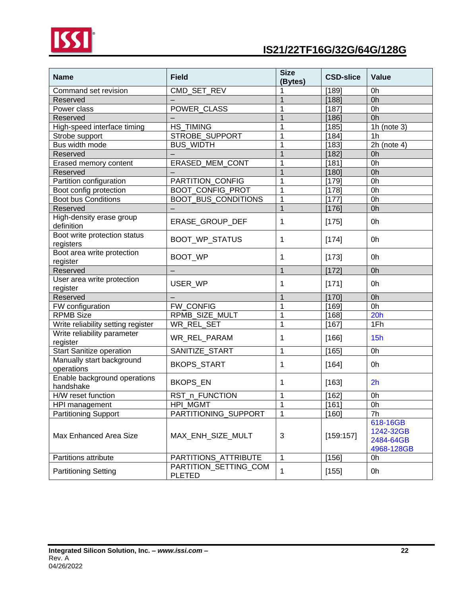

| <b>Name</b>                               | <b>Field</b>                           | <b>Size</b><br>(Bytes) | <b>CSD-slice</b> | <b>Value</b>                                     |
|-------------------------------------------|----------------------------------------|------------------------|------------------|--------------------------------------------------|
| Command set revision                      | CMD_SET_REV                            |                        | [189]            | 0h                                               |
| Reserved                                  |                                        | $\mathbf{1}$           | [188]            | 0h                                               |
| Power class                               | POWER_CLASS                            | 1                      | [187]            | 0h                                               |
| Reserved                                  |                                        | 1                      | [186]            | 0h                                               |
| High-speed interface timing               | <b>HS TIMING</b>                       | 1                      | [185]            | 1h (note $3)$                                    |
| Strobe support                            | STROBE_SUPPORT                         | 1                      | [184]            | 1h                                               |
| Bus width mode                            | <b>BUS_WIDTH</b>                       | 1                      | [183]            | $2h$ (note 4)                                    |
| Reserved                                  |                                        | 1                      | [182]            | 0h                                               |
| Erased memory content                     | ERASED_MEM_CONT                        | 1                      | [181]            | 0h                                               |
| Reserved                                  |                                        | 1                      | [180]            | 0h                                               |
| Partition configuration                   | PARTITION_CONFIG                       | 1                      | [179]            | 0h                                               |
| Boot config protection                    | <b>BOOT_CONFIG_PROT</b>                | 1                      | [178]            | 0h                                               |
| <b>Boot bus Conditions</b>                | BOOT_BUS_CONDITIONS                    | 1                      | [177]            | 0h                                               |
| Reserved                                  |                                        | 1                      | [176]            | 0h                                               |
| High-density erase group<br>definition    | ERASE_GROUP_DEF                        | 1                      | [175]            | 0h                                               |
| Boot write protection status<br>registers | <b>BOOT WP STATUS</b>                  | 1                      | [174]            | 0h                                               |
| Boot area write protection<br>register    | BOOT_WP                                | 1                      | [173]            | 0h                                               |
| Reserved                                  |                                        | $\mathbf{1}$           | [172]            | 0h                                               |
| User area write protection<br>register    | USER_WP                                | 1                      | [171]            | 0h                                               |
| Reserved                                  |                                        | $\mathbf 1$            | [170]            | 0h                                               |
| FW configuration                          | FW_CONFIG                              | $\mathbf 1$            | [169]            | 0h                                               |
| <b>RPMB Size</b>                          | RPMB_SIZE_MULT                         | $\mathbf 1$            | [168]            | 20h                                              |
| Write reliability setting register        | WR_REL_SET                             | 1                      | [167]            | 1Fh                                              |
| Write reliability parameter<br>register   | WR_REL_PARAM                           | 1                      | [166]            | 15h                                              |
| <b>Start Sanitize operation</b>           | SANITIZE_START                         | $\mathbf 1$            | [165]            | 0h                                               |
| Manually start background<br>operations   | BKOPS_START                            | 1                      | [164]            | 0h                                               |
| Enable background operations<br>handshake | <b>BKOPS_EN</b>                        | 1                      | [163]            | 2h                                               |
| H/W reset function                        | RST_n_FUNCTION                         | 1                      | $[162]$          | 0h                                               |
| HPI management                            | HPI_MGMT                               | 1                      | [161]            | 0h                                               |
| <b>Partitioning Support</b>               | PARTITIONING_SUPPORT                   | 1                      | [160]            | 7h                                               |
| Max Enhanced Area Size                    | MAX_ENH_SIZE_MULT                      | 3                      | [159:157]        | 618-16GB<br>1242-32GB<br>2484-64GB<br>4968-128GB |
| Partitions attribute                      | PARTITIONS_ATTRIBUTE                   | $\mathbf 1$            | [156]            | 0h                                               |
| <b>Partitioning Setting</b>               | PARTITION_SETTING_COM<br><b>PLETED</b> | $\mathbf 1$            | [155]            | 0h                                               |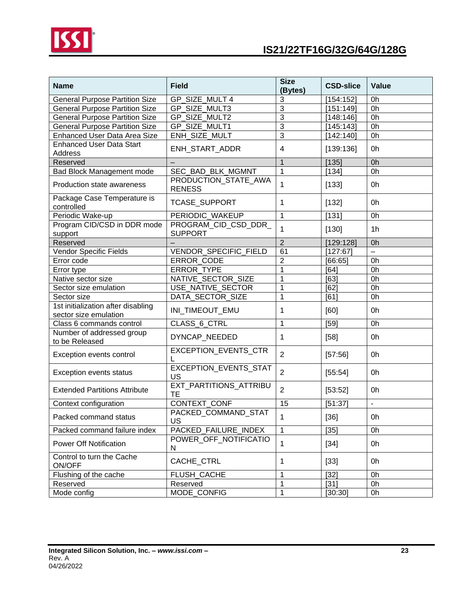

| <b>Name</b>                                                 | <b>Field</b>                           | <b>Size</b><br>(Bytes) | <b>CSD-slice</b> | Value                    |
|-------------------------------------------------------------|----------------------------------------|------------------------|------------------|--------------------------|
| <b>General Purpose Partition Size</b>                       | GP SIZE MULT 4                         | 3                      | [154:152]        | 0h                       |
| <b>General Purpose Partition Size</b>                       | GP SIZE MULT3                          | 3                      | [151:149]        | 0h                       |
| <b>General Purpose Partition Size</b>                       | GP_SIZE_MULT2                          | 3                      | [148:146]        | 0h                       |
| <b>General Purpose Partition Size</b>                       | GP SIZE MULT1                          | 3                      | [145:143]        | 0h                       |
| Enhanced User Data Area Size                                | ENH_SIZE_MULT                          | 3                      | [142:140]        | 0h                       |
| <b>Enhanced User Data Start</b><br>Address                  | ENH_START_ADDR                         | 4                      | [139:136]        | 0h                       |
| Reserved                                                    |                                        | $\mathbf{1}$           | [135]            | 0h                       |
| Bad Block Management mode                                   | SEC_BAD_BLK_MGMNT                      | $\mathbf{1}$           | [134]            | 0h                       |
| Production state awareness                                  | PRODUCTION_STATE_AWA<br><b>RENESS</b>  | 1                      | [133]            | 0h                       |
| Package Case Temperature is<br>controlled                   | TCASE_SUPPORT                          | 1                      | [132]            | 0h                       |
| Periodic Wake-up                                            | PERIODIC_WAKEUP                        | 1                      | [131]            | 0h                       |
| Program CID/CSD in DDR mode<br>support                      | PROGRAM_CID_CSD_DDR_<br><b>SUPPORT</b> | 1                      | [130]            | 1 <sub>h</sub>           |
| Reserved                                                    |                                        | $\overline{2}$         | [129:128]        | 0h                       |
| <b>Vendor Specific Fields</b>                               | VENDOR_SPECIFIC_FIELD                  | 61                     | [127:67]         | L.                       |
| Error code                                                  | ERROR_CODE                             | 2                      | [66:65]          | 0h                       |
| Error type                                                  | <b>ERROR TYPE</b>                      |                        | [64]             | 0h                       |
| Native sector size                                          | NATIVE SECTOR SIZE                     | 1                      | [63]             | 0h                       |
| Sector size emulation                                       | USE NATIVE SECTOR                      | 1                      | [62]             | 0h                       |
| Sector size                                                 | DATA_SECTOR_SIZE                       | 1                      | [61]             | 0h                       |
| 1st initialization after disabling<br>sector size emulation | INI_TIMEOUT_EMU                        | 1                      | [60]             | 0h                       |
| Class 6 commands control                                    | CLASS_6_CTRL                           | 1                      | [59]             | 0h                       |
| Number of addressed group<br>to be Released                 | DYNCAP_NEEDED                          | 1                      | $[58]$           | 0h                       |
| Exception events control                                    | EXCEPTION_EVENTS_CTR                   | $\overline{2}$         | [57:56]          | 0h                       |
| Exception events status                                     | EXCEPTION_EVENTS_STAT<br>US            | $\overline{2}$         | [55:54]          | 0h                       |
| <b>Extended Partitions Attribute</b>                        | EXT_PARTITIONS_ATTRIBU<br><b>TE</b>    | $\overline{2}$         | [53:52]          | 0h                       |
| Context configuration                                       | CONTEXT_CONF                           | 15                     | [51:37]          | $\overline{\phantom{a}}$ |
| Packed command status                                       | PACKED_COMMAND_STAT<br>US              | 1                      | $[36]$           | 0h                       |
| Packed command failure index                                | PACKED_FAILURE_INDEX                   | 1                      | $[35]$           | 0h                       |
| <b>Power Off Notification</b>                               | POWER_OFF_NOTIFICATIO<br>N             | 1                      | $[34]$           | 0h                       |
| Control to turn the Cache<br>ON/OFF                         | CACHE_CTRL                             | 1                      | $[33]$           | 0h                       |
| Flushing of the cache                                       | FLUSH CACHE                            | 1                      | $[32]$           | 0h                       |
| Reserved                                                    | Reserved                               | 1                      | $[31]$           | 0h                       |
| Mode config                                                 | MODE_CONFIG                            |                        | [30:30]          | 0h                       |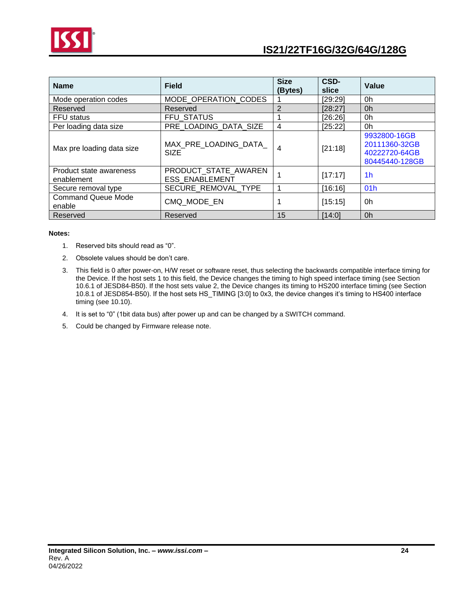

| <b>Name</b>                           | <b>Field</b>                                  | <b>Size</b><br>(Bytes) | CSD-<br>slice | <b>Value</b>                                                     |
|---------------------------------------|-----------------------------------------------|------------------------|---------------|------------------------------------------------------------------|
| Mode operation codes                  | MODE OPERATION_CODES                          |                        | [29:29]       | 0h                                                               |
| Reserved                              | Reserved                                      | $\overline{2}$         | [28:27]       | 0h                                                               |
| <b>FFU</b> status                     | <b>FFU STATUS</b>                             |                        | [26:26]       | 0h                                                               |
| Per loading data size                 | PRE LOADING DATA SIZE                         | 4                      | [25:22]       | 0h                                                               |
| Max pre loading data size             | MAX PRE LOADING DATA<br><b>SIZE</b>           | 4                      | [21:18]       | 9932800-16GB<br>20111360-32GB<br>40222720-64GB<br>80445440-128GB |
| Product state awareness<br>enablement | PRODUCT STATE AWAREN<br><b>ESS ENABLEMENT</b> | 1                      | [17:17]       | 1 <sub>h</sub>                                                   |
| Secure removal type                   | SECURE REMOVAL TYPE                           | 1                      | [16:16]       | 01 <sub>h</sub>                                                  |
| <b>Command Queue Mode</b><br>enable   | CMQ MODE EN                                   |                        | [15:15]       | 0h                                                               |
| Reserved                              | Reserved                                      | 15                     | [14:0]        | 0 <sub>h</sub>                                                   |

#### **Notes:**

- 1. Reserved bits should read as "0".
- 2. Obsolete values should be don't care.
- 3. This field is 0 after power-on, H/W reset or software reset, thus selecting the backwards compatible interface timing for the Device. If the host sets 1 to this field, the Device changes the timing to high speed interface timing (see Section 10.6.1 of JESD84-B50). If the host sets value 2, the Device changes its timing to HS200 interface timing (see Section 10.8.1 of JESD854-B50). If the host sets HS\_TIMING [3:0] to 0x3, the device changes it's timing to HS400 interface timing (see 10.10).
- 4. It is set to "0" (1bit data bus) after power up and can be changed by a SWITCH command.
- 5. Could be changed by Firmware release note.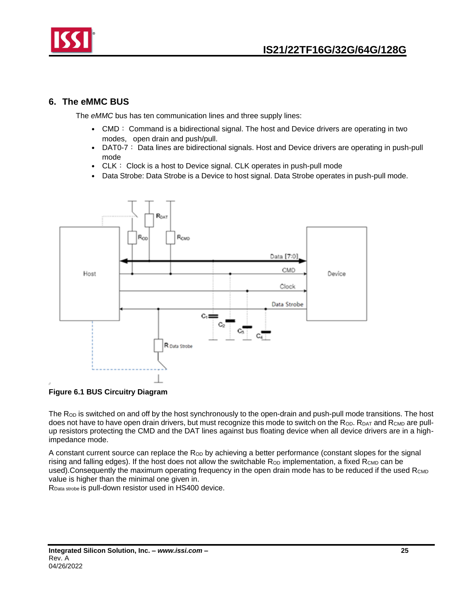

## <span id="page-24-0"></span>**6. The eMMC BUS**

The *eMMC* bus has ten communication lines and three supply lines:

- CMD: Command is a bidirectional signal. The host and Device drivers are operating in two modes, open drain and push/pull.
- DAT0-7: Data lines are bidirectional signals. Host and Device drivers are operating in push-pull mode
- CLK: Clock is a host to Device signal. CLK operates in push-pull mode
- Data Strobe: Data Strobe is a Device to host signal. Data Strobe operates in push-pull mode.



**Figure 6.1 BUS Circuitry Diagram**

The  $R<sub>OD</sub>$  is switched on and off by the host synchronously to the open-drain and push-pull mode transitions. The host does not have to have open drain drivers, but must recognize this mode to switch on the Rop. RDAT and RCMD are pullup resistors protecting the CMD and the DAT lines against bus floating device when all device drivers are in a highimpedance mode.

A constant current source can replace the R<sub>OD</sub> by achieving a better performance (constant slopes for the signal rising and falling edges). If the host does not allow the switchable  $R_{OD}$  implementation, a fixed  $R_{CMD}$  can be used). Consequently the maximum operating frequency in the open drain mode has to be reduced if the used  $R_{\text{CMD}}$ value is higher than the minimal one given in.

RData strobe is pull-down resistor used in HS400 device.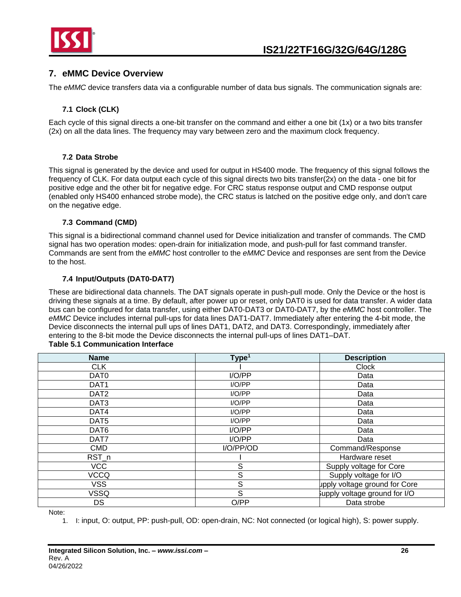

## <span id="page-25-0"></span>**7. eMMC Device Overview**

The *eMMC* device transfers data via a configurable number of data bus signals. The communication signals are:

## **7.1 Clock (CLK)**

<span id="page-25-1"></span>Each cycle of this signal directs a one-bit transfer on the command and either a one bit (1x) or a two bits transfer (2x) on all the data lines. The frequency may vary between zero and the maximum clock frequency.

## **7.2 Data Strobe**

<span id="page-25-2"></span>This signal is generated by the device and used for output in HS400 mode. The frequency of this signal follows the frequency of CLK. For data output each cycle of this signal directs two bits transfer(2x) on the data - one bit for positive edge and the other bit for negative edge. For CRC status response output and CMD response output (enabled only HS400 enhanced strobe mode), the CRC status is latched on the positive edge only, and don't care on the negative edge.

#### **7.3 Command (CMD)**

<span id="page-25-3"></span>This signal is a bidirectional command channel used for Device initialization and transfer of commands. The CMD signal has two operation modes: open-drain for initialization mode, and push-pull for fast command transfer. Commands are sent from the *eMMC* host controller to the *eMMC* Device and responses are sent from the Device to the host.

#### **7.4 Input/Outputs (DAT0-DAT7)**

<span id="page-25-4"></span>These are bidirectional data channels. The DAT signals operate in push-pull mode. Only the Device or the host is driving these signals at a time. By default, after power up or reset, only DAT0 is used for data transfer. A wider data bus can be configured for data transfer, using either DAT0-DAT3 or DAT0-DAT7, by the *eMMC* host controller. The *eMMC* Device includes internal pull-ups for data lines DAT1-DAT7. Immediately after entering the 4-bit mode, the Device disconnects the internal pull ups of lines DAT1, DAT2, and DAT3. Correspondingly, immediately after entering to the 8-bit mode the Device disconnects the internal pull-ups of lines DAT1–DAT.

#### **Table 5.1 Communication Interface**

| <b>Name</b>      | Type <sup>1</sup> | <b>Description</b>            |
|------------------|-------------------|-------------------------------|
| <b>CLK</b>       |                   | Clock                         |
| DAT <sub>0</sub> | I/O/PP            | Data                          |
| DAT <sub>1</sub> | I/O/PP            | Data                          |
| DAT <sub>2</sub> | I/O/PP            | Data                          |
| DAT <sub>3</sub> | I/O/PP            | Data                          |
| DAT4             | I/O/PP            | Data                          |
| DAT <sub>5</sub> | I/O/PP            | Data                          |
| DAT6             | I/O/PP            | Data                          |
| DAT7             | I/O/PP            | Data                          |
| <b>CMD</b>       | I/O/PP/OD         | Command/Response              |
| RST_n            |                   | Hardware reset                |
| <b>VCC</b>       | S                 | Supply voltage for Core       |
| <b>VCCQ</b>      | S                 | Supply voltage for I/O        |
| <b>VSS</b>       | S                 | upply voltage ground for Core |
| VSSQ             | S                 | supply voltage ground for I/O |
| DS               | O/PP              | Data strobe                   |

Note:

1. I: input, O: output, PP: push-pull, OD: open-drain, NC: Not connected (or logical high), S: power supply.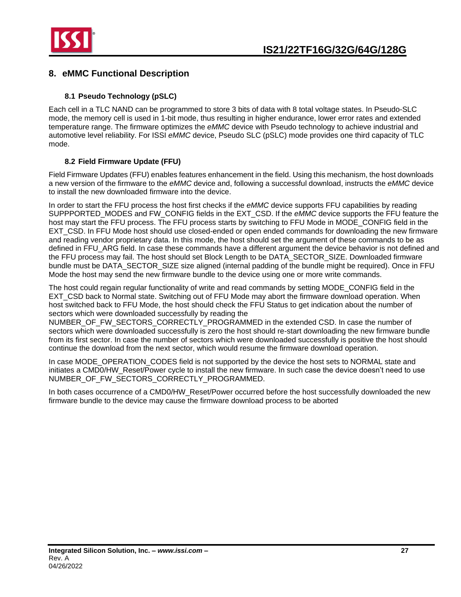

## <span id="page-26-0"></span>**8. eMMC Functional Description**

## **8.1 Pseudo Technology (pSLC)**

<span id="page-26-1"></span>Each cell in a TLC NAND can be programmed to store 3 bits of data with 8 total voltage states. In Pseudo-SLC mode, the memory cell is used in 1-bit mode, thus resulting in higher endurance, lower error rates and extended temperature range. The firmware optimizes the *eMMC* device with Pseudo technology to achieve industrial and automotive level reliability. For ISSI *eMMC* device, Pseudo SLC (pSLC) mode provides one third capacity of TLC mode.

## **8.2 Field Firmware Update (FFU)**

<span id="page-26-2"></span>Field Firmware Updates (FFU) enables features enhancement in the field. Using this mechanism, the host downloads a new version of the firmware to the *eMMC* device and, following a successful download, instructs the *eMMC* device to install the new downloaded firmware into the device.

In order to start the FFU process the host first checks if the *eMMC* device supports FFU capabilities by reading SUPPPORTED\_MODES and FW\_CONFIG fields in the EXT\_CSD. If the *eMMC* device supports the FFU feature the host may start the FFU process. The FFU process starts by switching to FFU Mode in MODE\_CONFIG field in the EXT\_CSD. In FFU Mode host should use closed-ended or open ended commands for downloading the new firmware and reading vendor proprietary data. In this mode, the host should set the argument of these commands to be as defined in FFU. ARG field. In case these commands have a different argument the device behavior is not defined and the FFU process may fail. The host should set Block Length to be DATA\_SECTOR\_SIZE. Downloaded firmware bundle must be DATA\_SECTOR\_SIZE size aligned (internal padding of the bundle might be required). Once in FFU Mode the host may send the new firmware bundle to the device using one or more write commands.

The host could regain regular functionality of write and read commands by setting MODE\_CONFIG field in the EXT\_CSD back to Normal state. Switching out of FFU Mode may abort the firmware download operation. When host switched back to FFU Mode, the host should check the FFU Status to get indication about the number of sectors which were downloaded successfully by reading the

NUMBER\_OF\_FW\_SECTORS\_CORRECTLY\_PROGRAMMED in the extended CSD. In case the number of sectors which were downloaded successfully is zero the host should re-start downloading the new firmware bundle from its first sector. In case the number of sectors which were downloaded successfully is positive the host should continue the download from the next sector, which would resume the firmware download operation.

In case MODE\_OPERATION\_CODES field is not supported by the device the host sets to NORMAL state and initiates a CMD0/HW\_Reset/Power cycle to install the new firmware. In such case the device doesn't need to use NUMBER OF FW SECTORS CORRECTLY PROGRAMMED.

In both cases occurrence of a CMD0/HW\_Reset/Power occurred before the host successfully downloaded the new firmware bundle to the device may cause the firmware download process to be aborted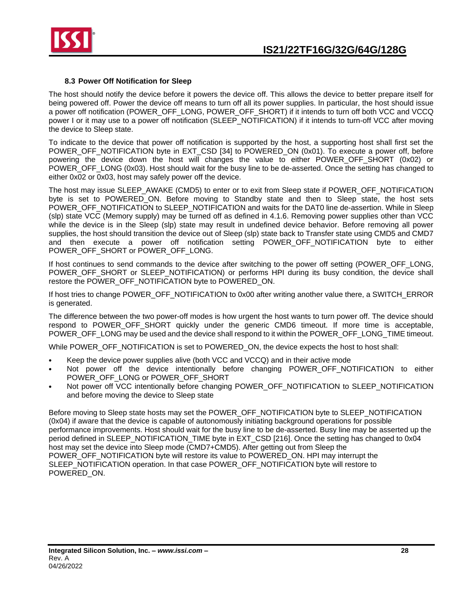

#### **8.3 Power Off Notification for Sleep**

<span id="page-27-0"></span>The host should notify the device before it powers the device off. This allows the device to better prepare itself for being powered off. Power the device off means to turn off all its power supplies. In particular, the host should issue a power off notification (POWER\_OFF\_LONG, POWER\_OFF\_SHORT) if it intends to turn off both VCC and VCCQ power I or it may use to a power off notification (SLEEP\_NOTIFICATION) if it intends to turn-off VCC after moving the device to Sleep state.

To indicate to the device that power off notification is supported by the host, a supporting host shall first set the POWER\_OFF\_NOTIFICATION byte in EXT\_CSD [34] to POWERED\_ON (0x01). To execute a power off, before powering the device down the host will changes the value to either POWER\_OFF\_SHORT (0x02) or POWER\_OFF\_LONG (0x03). Host should wait for the busy line to be de-asserted. Once the setting has changed to either 0x02 or 0x03, host may safely power off the device.

The host may issue SLEEP\_AWAKE (CMD5) to enter or to exit from Sleep state if POWER\_OFF\_NOTIFICATION byte is set to POWERED\_ON. Before moving to Standby state and then to Sleep state, the host sets POWER\_OFF\_NOTIFICATION to SLEEP\_NOTIFICATION and waits for the DAT0 line de-assertion. While in Sleep (slp) state VCC (Memory supply) may be turned off as defined in 4.1.6. Removing power supplies other than VCC while the device is in the Sleep (slp) state may result in undefined device behavior. Before removing all power supplies, the host should transition the device out of Sleep (slp) state back to Transfer state using CMD5 and CMD7 and then execute a power off notification setting POWER\_OFF\_NOTIFICATION byte to either POWER\_OFF\_SHORT or POWER\_OFF\_LONG.

If host continues to send commands to the device after switching to the power off setting (POWER\_OFF\_LONG, POWER\_OFF\_SHORT or SLEEP\_NOTIFICATION) or performs HPI during its busy condition, the device shall restore the POWER\_OFF\_NOTIFICATION byte to POWERED\_ON.

If host tries to change POWER\_OFF\_NOTIFICATION to 0x00 after writing another value there, a SWITCH\_ERROR is generated.

The difference between the two power-off modes is how urgent the host wants to turn power off. The device should respond to POWER OFF SHORT quickly under the generic CMD6 timeout. If more time is acceptable, POWER\_OFF\_LONG may be used and the device shall respond to it within the POWER\_OFF\_LONG\_TIME timeout.

While POWER\_OFF\_NOTIFICATION is set to POWERED\_ON, the device expects the host to host shall:

- Keep the device power supplies alive (both VCC and VCCQ) and in their active mode
- Not power off the device intentionally before changing POWER\_OFF\_NOTIFICATION to either POWER\_OFF\_LONG or POWER\_OFF\_SHORT
- Not power off VCC intentionally before changing POWER\_OFF\_NOTIFICATION to SLEEP\_NOTIFICATION and before moving the device to Sleep state

Before moving to Sleep state hosts may set the POWER\_OFF\_NOTIFICATION byte to SLEEP\_NOTIFICATION (0x04) if aware that the device is capable of autonomously initiating background operations for possible performance improvements. Host should wait for the busy line to be de-asserted. Busy line may be asserted up the period defined in SLEEP\_NOTIFICATION\_TIME byte in EXT\_CSD [216]. Once the setting has changed to 0x04 host may set the device into Sleep mode (CMD7+CMD5). After getting out from Sleep the POWER\_OFF\_NOTIFICATION byte will restore its value to POWERED\_ON. HPI may interrupt the SLEEP\_NOTIFICATION operation. In that case POWER\_OFF\_NOTIFICATION byte will restore to POWERED\_ON.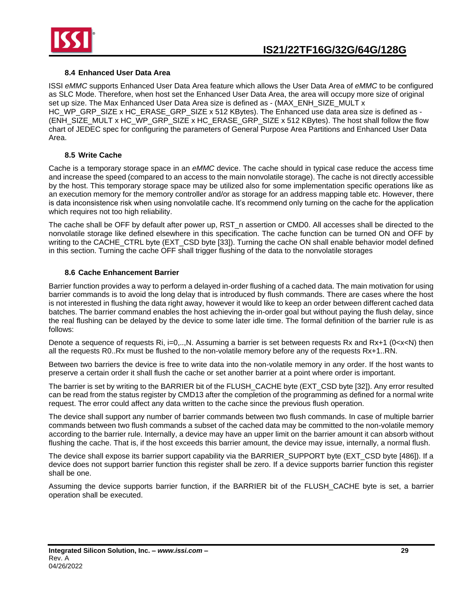

### **8.4 Enhanced User Data Area**

<span id="page-28-0"></span>ISSI *eMMC* supports Enhanced User Data Area feature which allows the User Data Area of *eMMC* to be configured as SLC Mode. Therefore, when host set the Enhanced User Data Area, the area will occupy more size of original set up size. The Max Enhanced User Data Area size is defined as - (MAX\_ENH\_SIZE\_MULT x HC\_WP\_GRP\_SIZE x HC\_ERASE\_GRP\_SIZE x 512 KBytes). The Enhanced use data area size is defined as - (ENH\_SIZE\_MULT x HC\_WP\_GRP\_SIZE x HC\_ERASE\_GRP\_SIZE x 512 KBytes). The host shall follow the flow chart of JEDEC spec for configuring the parameters of General Purpose Area Partitions and Enhanced User Data Area.

#### **8.5 Write Cache**

<span id="page-28-1"></span>Cache is a temporary storage space in an *eMMC* device. The cache should in typical case reduce the access time and increase the speed (compared to an access to the main nonvolatile storage). The cache is not directly accessible by the host. This temporary storage space may be utilized also for some implementation specific operations like as an execution memory for the memory controller and/or as storage for an address mapping table etc. However, there is data inconsistence risk when using nonvolatile cache. It's recommend only turning on the cache for the application which requires not too high reliability.

The cache shall be OFF by default after power up, RST\_n assertion or CMD0. All accesses shall be directed to the nonvolatile storage like defined elsewhere in this specification. The cache function can be turned ON and OFF by writing to the CACHE\_CTRL byte (EXT\_CSD byte [33]). Turning the cache ON shall enable behavior model defined in this section. Turning the cache OFF shall trigger flushing of the data to the nonvolatile storages

#### **8.6 Cache Enhancement Barrier**

<span id="page-28-2"></span>Barrier function provides a way to perform a delayed in-order flushing of a cached data. The main motivation for using barrier commands is to avoid the long delay that is introduced by flush commands. There are cases where the host is not interested in flushing the data right away, however it would like to keep an order between different cached data batches. The barrier command enables the host achieving the in-order goal but without paying the flush delay, since the real flushing can be delayed by the device to some later idle time. The formal definition of the barrier rule is as follows:

Denote a sequence of requests Ri, i=0,..,N. Assuming a barrier is set between requests Rx and Rx+1 (0<x<N) then all the requests R0..Rx must be flushed to the non-volatile memory before any of the requests Rx+1..RN.

Between two barriers the device is free to write data into the non-volatile memory in any order. If the host wants to preserve a certain order it shall flush the cache or set another barrier at a point where order is important.

The barrier is set by writing to the BARRIER bit of the FLUSH\_CACHE byte (EXT\_CSD byte [32]). Any error resulted can be read from the status register by CMD13 after the completion of the programming as defined for a normal write request. The error could affect any data written to the cache since the previous flush operation.

The device shall support any number of barrier commands between two flush commands. In case of multiple barrier commands between two flush commands a subset of the cached data may be committed to the non-volatile memory according to the barrier rule. Internally, a device may have an upper limit on the barrier amount it can absorb without flushing the cache. That is, if the host exceeds this barrier amount, the device may issue, internally, a normal flush.

The device shall expose its barrier support capability via the BARRIER\_SUPPORT byte (EXT\_CSD byte [486]). If a device does not support barrier function this register shall be zero. If a device supports barrier function this register shall be one.

Assuming the device supports barrier function, if the BARRIER bit of the FLUSH\_CACHE byte is set, a barrier operation shall be executed.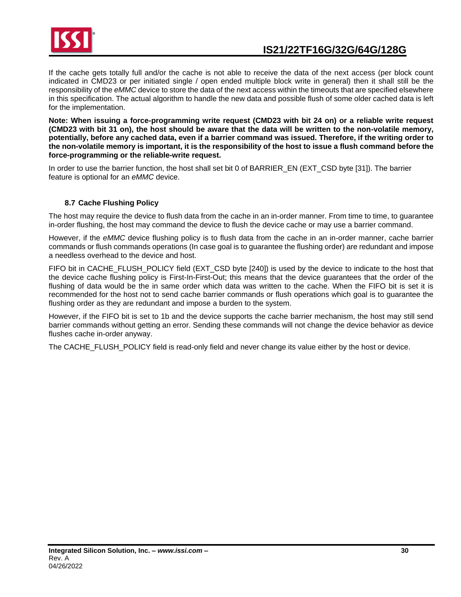

If the cache gets totally full and/or the cache is not able to receive the data of the next access (per block count indicated in CMD23 or per initiated single / open ended multiple block write in general) then it shall still be the responsibility of the *eMMC* device to store the data of the next access within the timeouts that are specified elsewhere in this specification. The actual algorithm to handle the new data and possible flush of some older cached data is left for the implementation.

**Note: When issuing a force-programming write request (CMD23 with bit 24 on) or a reliable write request (CMD23 with bit 31 on), the host should be aware that the data will be written to the non-volatile memory, potentially, before any cached data, even if a barrier command was issued. Therefore, if the writing order to the non-volatile memory is important, it is the responsibility of the host to issue a flush command before the force-programming or the reliable-write request.**

In order to use the barrier function, the host shall set bit 0 of BARRIER\_EN (EXT\_CSD byte [31]). The barrier feature is optional for an *eMMC* device.

## **8.7 Cache Flushing Policy**

<span id="page-29-0"></span>The host may require the device to flush data from the cache in an in-order manner. From time to time, to guarantee in-order flushing, the host may command the device to flush the device cache or may use a barrier command.

However, if the *eMMC* device flushing policy is to flush data from the cache in an in-order manner, cache barrier commands or flush commands operations (In case goal is to guarantee the flushing order) are redundant and impose a needless overhead to the device and host.

FIFO bit in CACHE\_FLUSH\_POLICY field (EXT\_CSD byte [240]) is used by the device to indicate to the host that the device cache flushing policy is First-In-First-Out; this means that the device guarantees that the order of the flushing of data would be the in same order which data was written to the cache. When the FIFO bit is set it is recommended for the host not to send cache barrier commands or flush operations which goal is to guarantee the flushing order as they are redundant and impose a burden to the system.

However, if the FIFO bit is set to 1b and the device supports the cache barrier mechanism, the host may still send barrier commands without getting an error. Sending these commands will not change the device behavior as device flushes cache in-order anyway.

The CACHE\_FLUSH\_POLICY field is read-only field and never change its value either by the host or device.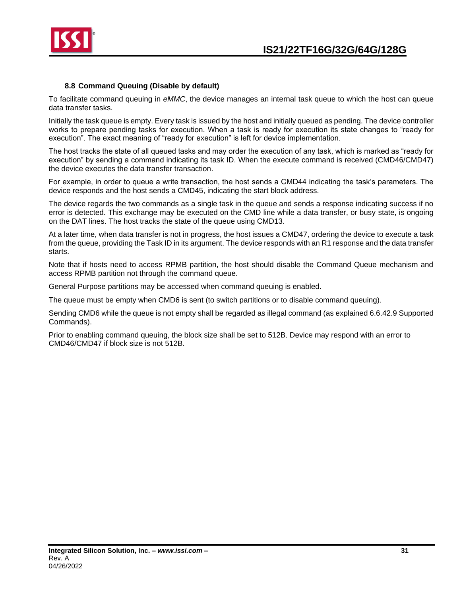

#### **8.8 Command Queuing (Disable by default)**

<span id="page-30-0"></span>To facilitate command queuing in *eMMC*, the device manages an internal task queue to which the host can queue data transfer tasks.

Initially the task queue is empty. Every task is issued by the host and initially queued as pending. The device controller works to prepare pending tasks for execution. When a task is ready for execution its state changes to "ready for execution". The exact meaning of "ready for execution" is left for device implementation.

The host tracks the state of all queued tasks and may order the execution of any task, which is marked as "ready for execution" by sending a command indicating its task ID. When the execute command is received (CMD46/CMD47) the device executes the data transfer transaction.

For example, in order to queue a write transaction, the host sends a CMD44 indicating the task's parameters. The device responds and the host sends a CMD45, indicating the start block address.

The device regards the two commands as a single task in the queue and sends a response indicating success if no error is detected. This exchange may be executed on the CMD line while a data transfer, or busy state, is ongoing on the DAT lines. The host tracks the state of the queue using CMD13.

At a later time, when data transfer is not in progress, the host issues a CMD47, ordering the device to execute a task from the queue, providing the Task ID in its argument. The device responds with an R1 response and the data transfer starts.

Note that if hosts need to access RPMB partition, the host should disable the Command Queue mechanism and access RPMB partition not through the command queue.

General Purpose partitions may be accessed when command queuing is enabled.

The queue must be empty when CMD6 is sent (to switch partitions or to disable command queuing).

Sending CMD6 while the queue is not empty shall be regarded as illegal command (as explained 6.6.42.9 Supported Commands).

Prior to enabling command queuing, the block size shall be set to 512B. Device may respond with an error to CMD46/CMD47 if block size is not 512B.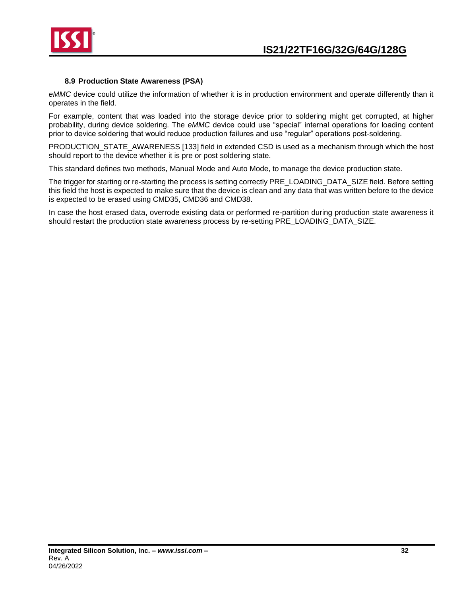

#### **8.9 Production State Awareness (PSA)**

<span id="page-31-0"></span>*eMMC* device could utilize the information of whether it is in production environment and operate differently than it operates in the field.

For example, content that was loaded into the storage device prior to soldering might get corrupted, at higher probability, during device soldering. The *eMMC* device could use "special" internal operations for loading content prior to device soldering that would reduce production failures and use "regular" operations post-soldering.

PRODUCTION\_STATE\_AWARENESS [133] field in extended CSD is used as a mechanism through which the host should report to the device whether it is pre or post soldering state.

This standard defines two methods, Manual Mode and Auto Mode, to manage the device production state.

The trigger for starting or re-starting the process is setting correctly PRE\_LOADING\_DATA\_SIZE field. Before setting this field the host is expected to make sure that the device is clean and any data that was written before to the device is expected to be erased using CMD35, CMD36 and CMD38.

In case the host erased data, overrode existing data or performed re-partition during production state awareness it should restart the production state awareness process by re-setting PRE\_LOADING\_DATA\_SIZE.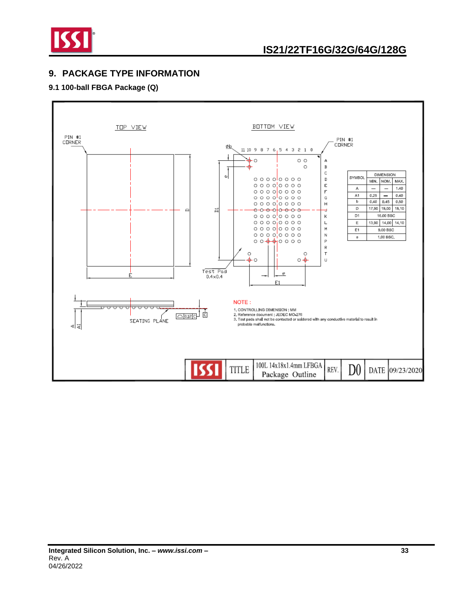

## <span id="page-32-0"></span>**9. PACKAGE TYPE INFORMATION**

## **9.1 100-ball FBGA Package (Q)**

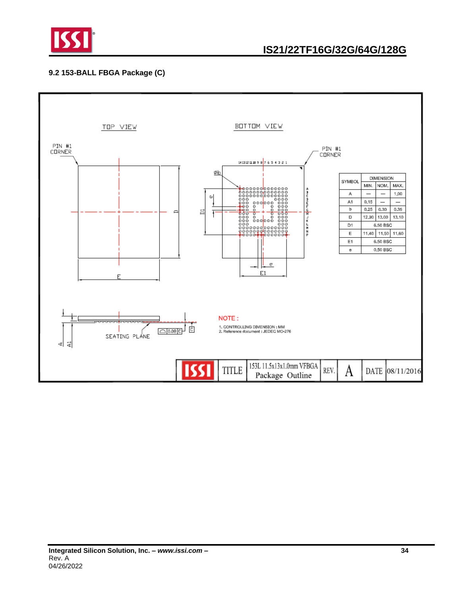

## **9.2 153-BALL FBGA Package (C)**

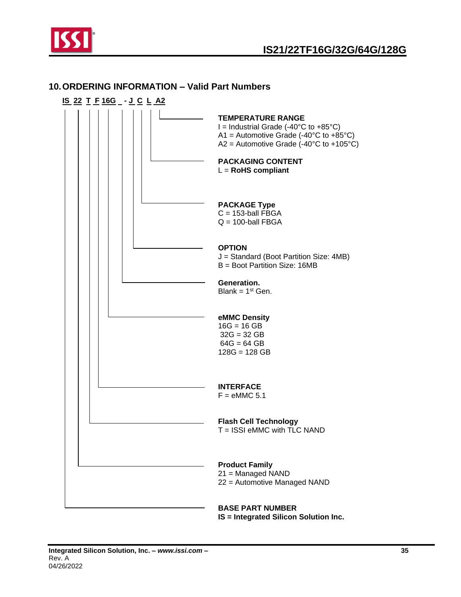

## <span id="page-34-0"></span>**10.ORDERING INFORMATION – Valid Part Numbers**